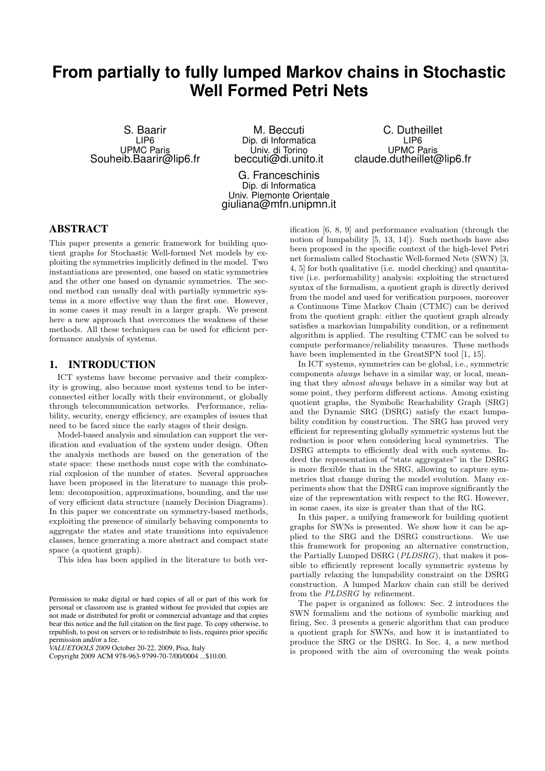# **From partially to fully lumped Markov chains in Stochastic Well Formed Petri Nets**

S. Baarir LIP6 UPMC Paris Souheib.Baarir@lip6.fr

M. Beccuti Dip. di Informatica Univ. di Torino beccuti@di.unito.it

G. Franceschinis Dip. di Informatica Univ. Piemonte Orientale giuliana@mfn.unipmn.it

C. Dutheillet LIP6 UPMC Paris claude.dutheillet@lip6.fr

# ABSTRACT

This paper presents a generic framework for building quotient graphs for Stochastic Well-formed Net models by exploiting the symmetries implicitly defined in the model. Two instantiations are presented, one based on static symmetries and the other one based on dynamic symmetries. The second method can usually deal with partially symmetric systems in a more effective way than the first one. However, in some cases it may result in a larger graph. We present here a new approach that overcomes the weakness of these methods. All these techniques can be used for efficient performance analysis of systems.

## 1. INTRODUCTION

ICT systems have become pervasive and their complexity is growing, also because most systems tend to be interconnected either locally with their environment, or globally through telecommunication networks. Performance, reliability, security, energy efficiency, are examples of issues that need to be faced since the early stages of their design.

Model-based analysis and simulation can support the verification and evaluation of the system under design. Often the analysis methods are based on the generation of the state space: these methods must cope with the combinatorial explosion of the number of states. Several approaches have been proposed in the literature to manage this problem: decomposition, approximations, bounding, and the use of very efficient data structure (namely Decision Diagrams). In this paper we concentrate on symmetry-based methods, exploiting the presence of similarly behaving components to aggregate the states and state transitions into equivalence classes, hence generating a more abstract and compact state space (a quotient graph).

This idea has been applied in the literature to both ver-

*VALUETOOLS 2009* October 20-22, 2009, Pisa, Italy

ification [6, 8, 9] and performance evaluation (through the notion of lumpability [5, 13, 14]). Such methods have also been proposed in the specific context of the high-level Petri net formalism called Stochastic Well-formed Nets (SWN) [3, 4, 5] for both qualitative (i.e. model checking) and quantitative (i.e. performability) analysis: exploiting the structured syntax of the formalism, a quotient graph is directly derived from the model and used for verification purposes, moreover a Continuous Time Markov Chain (CTMC) can be derived from the quotient graph: either the quotient graph already satisfies a markovian lumpability condition, or a refinement algorithm is applied. The resulting CTMC can be solved to compute performance/reliability measures. These methods have been implemented in the GreatSPN tool [1, 15].

In ICT systems, symmetries can be global, i.e., symmetric components always behave in a similar way, or local, meaning that they almost always behave in a similar way but at some point, they perform different actions. Among existing quotient graphs, the Symbolic Reachability Graph (SRG) and the Dynamic SRG (DSRG) satisfy the exact lumpability condition by construction. The SRG has proved very efficient for representing globally symmetric systems but the reduction is poor when considering local symmetries. The DSRG attempts to efficiently deal with such systems. Indeed the representation of "state aggregates" in the DSRG is more flexible than in the SRG, allowing to capture symmetries that change during the model evolution. Many experiments show that the DSRG can improve significantly the size of the representation with respect to the RG. However, in some cases, its size is greater than that of the RG.

In this paper, a unifying framework for building quotient graphs for SWNs is presented. We show how it can be applied to the SRG and the DSRG constructions. We use this framework for proposing an alternative construction, the Partially Lumped DSRG (PLDSRG), that makes it possible to efficiently represent locally symmetric systems by partially relaxing the lumpability constraint on the DSRG construction. A lumped Markov chain can still be derived from the PLDSRG by refinement.

The paper is organized as follows: Sec. 2 introduces the SWN formalism and the notions of symbolic marking and firing, Sec. 3 presents a generic algorithm that can produce a quotient graph for SWNs, and how it is instantiated to produce the SRG or the DSRG. In Sec. 4, a new method is proposed with the aim of overcoming the weak points

Permission to make digital or hard copies of all or part of this work for personal or classroom use is granted without fee provided that copies are not made or distributed for profit or commercial advantage and that copies bear this notice and the full citation on the first page. To copy otherwise, to republish, to post on servers or to redistribute to lists, requires prior specific permission and/or a fee.

Copyright 2009 ACM 978-963-9799-70-7/00/0004 ...\$10.00.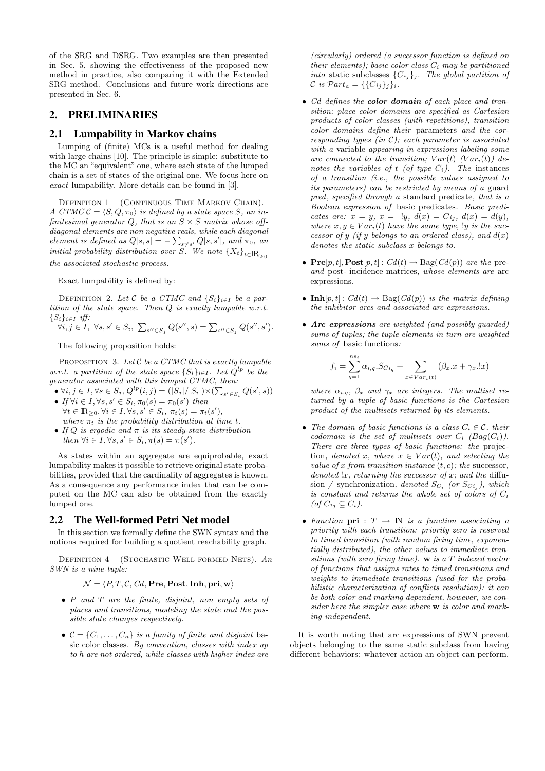of the SRG and DSRG. Two examples are then presented in Sec. 5, showing the effectiveness of the proposed new method in practice, also comparing it with the Extended SRG method. Conclusions and future work directions are presented in Sec. 6.

# 2. PRELIMINARIES

## 2.1 Lumpability in Markov chains

Lumping of (finite) MCs is a useful method for dealing with large chains [10]. The principle is simple: substitute to the MC an "equivalent" one, where each state of the lumped chain is a set of states of the original one. We focus here on exact lumpability. More details can be found in [3].

DEFINITION 1 (CONTINUOUS TIME MARKOV CHAIN). A CTMC  $\mathcal{C} = \langle S, Q, \pi_0 \rangle$  is defined by a state space S, an infinitesimal generator  $Q$ , that is an  $S \times S$  matrix whose offdiagonal elements are non negative reals, while each diagonal element is defined as  $Q[s,s] = -\sum_{s\neq s'} Q[s,s']$ , and  $\pi_0$ , and initial probability distribution over S. We note  ${X_t}$ <sub>t∈</sub> $\mathbb{R}_{>0}$ the associated stochastic process.

Exact lumpability is defined by:

DEFINITION 2. Let C be a CTMC and  $\{S_i\}_{i\in I}$  be a partition of the state space. Then Q is exactly lumpable w.r.t.  $\{S_i\}_{i\in I}$  iff:

$$
\forall i, j \in I, \ \forall s, s' \in S_i, \ \sum_{s'' \in S_j} Q(s'', s) = \sum_{s'' \in S_j} Q(s'', s').
$$

The following proposition holds:

PROPOSITION 3. Let  $C$  be a CTMC that is exactly lumpable w.r.t. a partition of the state space  $\{S_i\}_{i\in I}$ . Let  $Q^{lp}$  be the generator associated with this lumped CTMC, then:

- $\forall i, j \in I, \forall s \in S_j, Q^{lp}(i, j) = (|S_j|/|S_i|) \times (\sum_{s' \in S_i} Q(s', s))$
- If  $\forall i \in I, \forall s, s' \in S_i, \pi_0(s) = \pi_0(s')$  then  $\forall t \in \mathbb{R}_{\geq 0}, \forall i \in I, \forall s, s' \in S_i, \pi_t(s) = \pi_t(s'),$ where  $\pi_t$  is the probability distribution at time t.
- If Q is ergodic and  $\pi$  is its steady-state distribution then  $\forall i \in I, \forall s, s' \in S_i, \pi(s) = \pi(s')$ .

As states within an aggregate are equiprobable, exact lumpability makes it possible to retrieve original state probabilities, provided that the cardinality of aggregates is known. As a consequence any performance index that can be computed on the MC can also be obtained from the exactly lumped one.

#### 2.2 The Well-formed Petri Net model

In this section we formally define the SWN syntax and the notions required for building a quotient reachability graph.

DEFINITION  $4$  (STOCHASTIC WELL-FORMED NETS). An SWN is a nine-tuple:

#### $\mathcal{N} = \langle P, T, C, Cd, \textbf{Pre}, \textbf{Post}, \textbf{Inh}, \textbf{pri}, \textbf{w} \rangle$

- P and T are the finite, disjoint, non empty sets of places and transitions, modeling the state and the possible state changes respectively.
- $C = \{C_1, \ldots, C_n\}$  is a family of finite and disjoint basic color classes. By convention, classes with index up to h are not ordered, while classes with higher index are

(circularly) ordered (a successor function is defined on their elements); basic color class  $C_i$  may be partitioned into static subclasses  $\{C_{ij}\}_j$ . The global partition of C is  $\mathcal{P}art_{a} = \{\{C_{ij}\}_j\}_{i}.$ 

- Cd defines the **color domain** of each place and transition; place color domains are specified as Cartesian products of color classes (with repetitions), transition color domains define their parameters and the corresponding types (in  $C$ ); each parameter is associated with a variable appearing in expressions labeling some arc connected to the transition;  $Var(t)$  ( $Var_i(t)$ ) denotes the variables of t (of type  $C_i$ ). The instances of a transition (i.e., the possible values assigned to its parameters) can be restricted by means of a guard  $pred, specified through a standard predicate, that is a$ Boolean expression of basic predicates. Basic predicates are:  $x = y$ ,  $x = 1y$ ,  $d(x) = Ci_i$ ,  $d(x) = d(y)$ , where  $x, y \in Var_i(t)$  have the same type, ly is the successor of y (if y belongs to an ordered class), and  $d(x)$ denotes the static subclass x belongs to.
- $\mathbf{Pre}[p, t], \mathbf{Post}[p, t] : Cd(t) \to \text{Bag}(Cd(p))$  are the preand post- incidence matrices, whose elements are arc expressions.
- Inh $[p, t] : Cd(t) \to \text{Bag}(Cd(p))$  is the matrix defining the inhibitor arcs and associated arc expressions.
- Arc expressions are weighted (and possibly guarded) sums of tuples; the tuple elements in turn are weighted sums of basic functions:

$$
f_i = \sum_{q=1}^{ns_i} \alpha_{i,q} . S_{Ci_q} + \sum_{x \in Var_i(t)} (\beta_x . x + \gamma_x . !x)
$$

where  $\alpha_{i,q}$ ,  $\beta_x$  and  $\gamma_x$  are integers. The multiset returned by a tuple of basic functions is the Cartesian product of the multisets returned by its elements.

- The domain of basic functions is a class  $C_i \in \mathcal{C}$ , their codomain is the set of multisets over  $C_i$  (Bag( $C_i$ )). There are three types of basic functions: the projection, denoted x, where  $x \in Var(t)$ , and selecting the value of x from transition instance  $(t, c)$ ; the successor, denoted  $x$ , returning the successor of x; and the diffusion / synchronization, denoted  $S_{C_i}$  (or  $S_{C_{i_j}}$ ), which is constant and returns the whole set of colors of  $C_i$ (of  $C_{ij} \subseteq C_i$ ).
- Function  $\text{pri} : T \rightarrow \mathbb{N}$  is a function associating a priority with each transition: priority zero is reserved to timed transition (with random firing time, exponentially distributed), the other values to immediate transitions (with zero firing time).  $\bf{w}$  is a T indexed vector of functions that assigns rates to timed transitions and weights to immediate transitions (used for the probabilistic characterization of conflicts resolution): it can be both color and marking dependent, however, we consider here the simpler case where **w** is color and marking independent.

It is worth noting that arc expressions of SWN prevent objects belonging to the same static subclass from having different behaviors: whatever action an object can perform,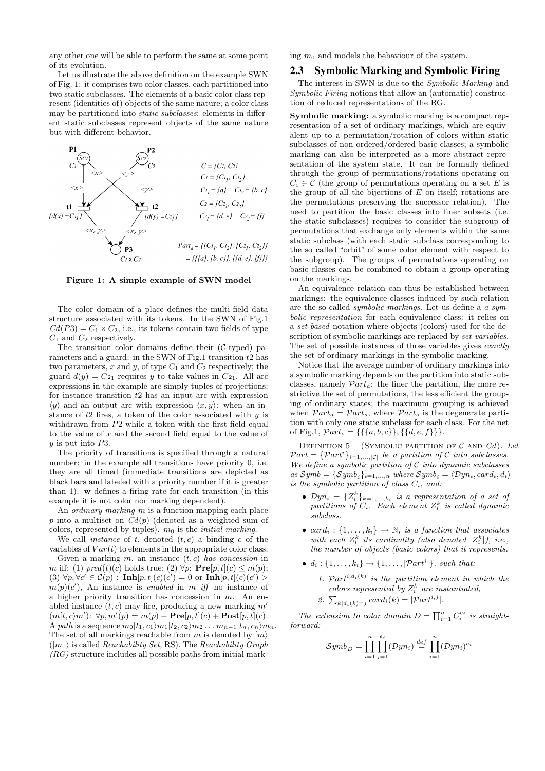any other one will be able to perform the same at some point of its evolution.

Let us illustrate the above definition on the example SWN of Fig. 1: it comprises two color classes, each partitioned into two static subclasses. The elements of a basic color class represent (identities of) objects of the same nature; a color class may be partitioned into static subclasses: elements in different static subclasses represent objects of the same nature but with different behavior.



Figure 1: A simple example of SWN model

The color domain of a place defines the multi-field data structure associated with its tokens. In the SWN of Fig.1  $Cd(P3) = C_1 \times C_2$ , i.e., its tokens contain two fields of type  $C_1$  and  $C_2$  respectively.

The transition color domains define their  $(C$ -typed) parameters and a guard: in the SWN of Fig.1 transition  $t_2$  has two parameters, x and y, of type  $C_1$  and  $C_2$  respectively; the guard  $d(y) = C_{21}$  requires y to take values in  $C_{21}$ . All arc expressions in the example are simply tuples of projections: for instance transition  $t2$  has an input arc with expression  $\langle y \rangle$  and an output arc with expression  $\langle x, y \rangle$ : when an instance of  $t2$  fires, a token of the color associated with  $y$  is withdrawn from P2 while a token with the first field equal to the value of  $x$  and the second field equal to the value of y is put into P3.

The priority of transitions is specified through a natural number: in the example all transitions have priority 0, i.e. they are all timed (immediate transitions are depicted as black bars and labeled with a priority number if it is greater than 1). w defines a firing rate for each transition (in this example it is not color nor marking dependent).

An ordinary marking m is a function mapping each place p into a multiset on  $Cd(p)$  (denoted as a weighted sum of colors, represented by tuples).  $m_0$  is the *initial marking*.

We call *instance* of t, denoted  $(t, c)$  a binding c of the variables of  $Var(t)$  to elements in the appropriate color class.

Given a marking m, an instance  $(t, c)$  has concession in m iff: (1) pred(t)(c) holds true; (2)  $\forall p$ :  $\mathbf{Pre}[p, t](c) \leq m(p)$ ; (3)  $\forall p, \forall c' \in C(p) : \textbf{Inh}[p, t](c)(c') = 0 \text{ or } \textbf{Inh}[p, t](c)(c') > 0$  $m(p)(c')$ , An instance is enabled in m iff no instance of a higher priority transition has concession in  $m$ . An enabled instance  $(t, c)$  may fire, producing a new marking  $m'$  $(m[t, c)m')$ :  $\forall p, m'(p) = m(p) - \mathbf{Pre}[p, t](c) + \mathbf{Post}[p, t](c)$ . A path is a sequence  $m_0[t_1, c_1/m_1[t_2, c_2/m_2 ... m_{n-1}[t_n, c_n/m_n]]$ . The set of all markings reachable from m is denoted by  $|m\rangle$  $(|m_0\rangle)$  is called *Reachability Set*, RS). The *Reachability Graph*  $(RG)$  structure includes all possible paths from initial marking  $m_0$  and models the behaviour of the system.

# 2.3 Symbolic Marking and Symbolic Firing

The interest in SWN is due to the Symbolic Marking and Symbolic Firing notions that allow an (automatic) construction of reduced representations of the RG.

Symbolic marking: a symbolic marking is a compact representation of a set of ordinary markings, which are equivalent up to a permutation/rotation of colors within static subclasses of non ordered/ordered basic classes; a symbolic marking can also be interpreted as a more abstract representation of the system state. It can be formally defined through the group of permutations/rotations operating on  $C_i \in \mathcal{C}$  (the group of permutations operating on a set E is the group of all the bijections of  $E$  on itself; rotations are the permutations preserving the successor relation). The need to partition the basic classes into finer subsets (i.e. the static subclasses) requires to consider the subgroup of permutations that exchange only elements within the same static subclass (with each static subclass corresponding to the so called "orbit" of some color element with respect to the subgroup). The groups of permutations operating on basic classes can be combined to obtain a group operating on the markings.

An equivalence relation can thus be established between markings: the equivalence classes induced by such relation are the so called symbolic markings. Let us define a a symbolic representation for each equivalence class: it relies on a set-based notation where objects (colors) used for the description of symbolic markings are replaced by *set-variables*. The set of possible instances of those variables gives exactly the set of ordinary markings in the symbolic marking.

Notice that the average number of ordinary markings into a symbolic marking depends on the partition into static subclasses, namely  $\mathcal{P}art_a$ : the finer the partition, the more restrictive the set of permutations, the less efficient the grouping of ordinary states; the maximum grouping is achieved when  $\mathcal{P}art_a = \mathcal{P}art_s$ , where  $\mathcal{P}art_s$  is the degenerate partition with only one static subclass for each class. For the net of Fig.1,  $\mathcal{P}art_s = \{\{\{a, b, c\}\}, \{\{d, e, f\}\}\}.$ 

DEFINITION 5 (SYMBOLIC PARTITION OF  $C$  AND  $Cd$ ). Let  $Part = \{Part^i\}_{i=1,\dots,|\mathcal{C}|}$  be a partition of C into subclasses. We define a symbolic partition of  $C$  into dynamic subclasses as  $Symb = \{Symb_i\}_{i=1,...,n}$  where  $Symb_i = \langle Dyn_i, card_i, d_i \rangle$ is the symbolic partition of class  $C_i$ , and:

- $Dyn_i = \{Z_i^k\}_{k=1,...,k_i}$  is a representation of a set of partitions of  $C_i$ . Each element  $Z_i^k$  is called dynamic subclass.
- card<sub>i</sub>:  $\{1, \ldots, k_i\}$   $\rightarrow \mathbb{N}$ , is a function that associates with each  $Z_i^k$  its cardinality (also denoted  $|Z_i^k|$ ), i.e., the number of objects (basic colors) that it represents.
- $d_i: \{1, \ldots, k_i\} \rightarrow \{1, \ldots, |\mathcal{P}art^i|\}, \text{ such that:}$ 
	- 1.  $Part<sup>i,d<sub>i</sub>(k)</sup>$  is the partition element in which the colors represented by  $Z_i^k$  are instantiated, 2.  $\sum_{k|d_i(k)=j} card_i(k) = |\mathcal{P}art^{i,j}|.$

The extension to color domain  $D = \prod_{i=1}^{n} C_i^{e_i}$  is straightforward:

$$
Symb_D = \prod_{i=1}^n \prod_{j=1}^{e_i} (Dyn_i) \stackrel{def}{=} \prod_{i=1}^n (Dyn_i)^{e_i}
$$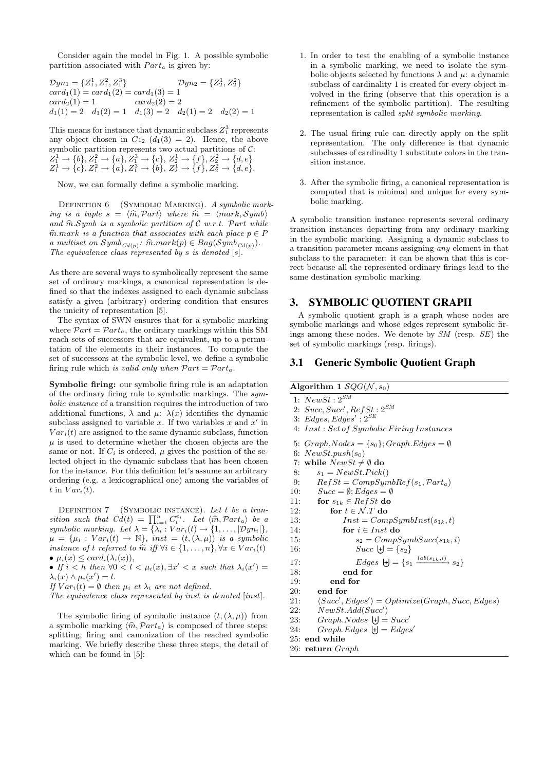Consider again the model in Fig. 1. A possible symbolic partition associated with  $Part_a$  is given by:

$$
Dyn_1 = \{Z_1^1, Z_1^2, Z_1^3\}
$$
  
\n
$$
Card_1(1) = card_1(2) = card_1(3) = 1
$$
  
\n
$$
card_2(1) = 1
$$
  
\n
$$
card_2(2) = 2
$$
  
\n
$$
d_1(1) = 2
$$
  
\n
$$
d_1(2) = 1
$$
  
\n
$$
d_1(3) = 2
$$
  
\n
$$
d_2(1) = 2
$$
  
\n
$$
d_2(2) = 1
$$

This means for instance that dynamic subclass  $Z_1^3$  represents any object chosen in  $C_{12}$   $(d_1(3) = 2)$ . Hence, the above symbolic partition represents two actual partitions of  $C$ :  $Z_1^1 \rightarrow \{b\}, Z_1^2 \rightarrow \{a\}, Z_1^3 \rightarrow \{c\}, Z_2^1 \rightarrow \{f\}, Z_2^2 \rightarrow \{d, e\}$  $Z_1^1 \rightarrow \{c\}, Z_1^2 \rightarrow \{a\}, Z_1^3 \rightarrow \{b\}, Z_2^1 \rightarrow \{f\}, Z_2^2 \rightarrow \{d, e\}.$ 

Now, we can formally define a symbolic marking.

DEFINITION 6 (SYMBOLIC MARKING). A symbolic marking is a tuple  $s = \langle \hat{m}, Part \rangle$  where  $\hat{m} = \langle mark, Symb \rangle$ and  $\widehat{m}$ . Symb is a symbolic partition of  $C$  w.r.t. Part while  $\widehat{m}.mark$  is a function that associates with each place  $p \in P$ a multiset on  $Symb_{Cd(p)}$ :  $\hat{m}.mark(p) \in Bag(Symb_{Cd(p)})$ .<br>The equivalence class represented by s is denoted [s] The equivalence class represented by  $s$  is denoted  $[s]$ .

As there are several ways to symbolically represent the same set of ordinary markings, a canonical representation is defined so that the indexes assigned to each dynamic subclass satisfy a given (arbitrary) ordering condition that ensures the unicity of representation [5].

The syntax of SWN ensures that for a symbolic marking where  $\mathcal{P}art = \mathcal{P}art_a$ , the ordinary markings within this SM reach sets of successors that are equivalent, up to a permutation of the elements in their instances. To compute the set of successors at the symbolic level, we define a symbolic firing rule which is valid only when  $\mathcal{P}art = \mathcal{P}art_a$ .

Symbolic firing: our symbolic firing rule is an adaptation of the ordinary firing rule to symbolic markings. The symbolic instance of a transition requires the introduction of two additional functions,  $\lambda$  and  $\mu$ :  $\lambda(x)$  identifies the dynamic subclass assigned to variable x. If two variables x and  $x'$  in  $Var<sub>i</sub>(t)$  are assigned to the same dynamic subclass, function  $\mu$  is used to determine whether the chosen objects are the same or not. If  $C_i$  is ordered,  $\mu$  gives the position of the selected object in the dynamic subclass that has been chosen for the instance. For this definition let's assume an arbitrary ordering (e.g. a lexicographical one) among the variables of t in  $Var_i(t)$ .

DEFINITION  $7$  (SYMBOLIC INSTANCE). Let t be a transition such that  $Cd(t) = \prod_{i=1}^{n} C_i^{e_i}$ . Let  $\langle \widehat{m}, Part_a \rangle$  be a symbolic marking. Let  $\lambda = {\lambda_i : Var_i(t) \rightarrow \{1, ..., |Dyn_i|\}}$  $\mu = {\mu_i : Var_i(t) \rightarrow \mathbb{N}}, \text{ inst} = (t, (\lambda, \mu)) \text{ is a symbolic}$ instance of t referred to  $\hat{m}$  iff  $\forall i \in \{1, \ldots, n\}$ ,  $\forall x \in Var_i(t)$ •  $\mu_i(x) \leq card_i(\lambda_i(x)),$ 

• If  $i < h$  then  $\forall 0 < l < \mu_i(x), \exists x' < x$  such that  $\lambda_i(x') =$  $\lambda_i(x) \wedge \mu_i(x') = l.$ 

If  $Var_i(t) = \emptyset$  then  $\mu_i$  et  $\lambda_i$  are not defined.

The equivalence class represented by inst is denoted [inst].

The symbolic firing of symbolic instance  $(t, (\lambda, \mu))$  from a symbolic marking  $\langle \hat{m}, Part_a \rangle$  is composed of three steps: splitting, firing and canonization of the reached symbolic marking. We briefly describe these three steps, the detail of which can be found in [5]:

- 1. In order to test the enabling of a symbolic instance in a symbolic marking, we need to isolate the symbolic objects selected by functions  $\lambda$  and  $\mu$ : a dynamic subclass of cardinality 1 is created for every object involved in the firing (observe that this operation is a refinement of the symbolic partition). The resulting representation is called split symbolic marking.
- 2. The usual firing rule can directly apply on the split representation. The only difference is that dynamic subclasses of cardinality 1 substitute colors in the transition instance.
- 3. After the symbolic firing, a canonical representation is computed that is minimal and unique for every symbolic marking.

A symbolic transition instance represents several ordinary transition instances departing from any ordinary marking in the symbolic marking. Assigning a dynamic subclass to a transition parameter means assigning any element in that subclass to the parameter: it can be shown that this is correct because all the represented ordinary firings lead to the same destination symbolic marking.

## 3. SYMBOLIC QUOTIENT GRAPH

A symbolic quotient graph is a graph whose nodes are symbolic markings and whose edges represent symbolic firings among these nodes. We denote by SM (resp. SE) the set of symbolic markings (resp. firings).

#### 3.1 Generic Symbolic Quotient Graph

| Algorithm 1 $SQG(\mathcal{N}, s_0)$                                   |
|-----------------------------------------------------------------------|
| 1: $NewSt: 2^{SM}$                                                    |
| 2: $Succ, Succ', RefSt: 2^{SM}$                                       |
| 3: Edges, Edges' : $2^{SE}$                                           |
| 4: Inst: Set of Symbolic Firing Instances                             |
| 5: $Graph.Nodes = \{s_0\}; Graph.Edges = \emptyset$                   |
| 6: $NewSt.push(s_0)$                                                  |
| 7: while $NewSt \neq \emptyset$ do                                    |
| $s_1 = NewSt.Pick()$<br>8:                                            |
| $RefSt = CompSymbolRef(s_1, Part_a)$<br>9:                            |
| $Succ = \emptyset$ ; Edges = $\emptyset$<br>10:                       |
| for $s_{1k} \in RefSt$ do<br>11:                                      |
| for $t \in \mathcal{N}.T$ do<br>12:                                   |
| 13:<br>$Inst = CompSymbolnst(s_{1k}, t)$                              |
| for $i \in Inst$ do<br>14:                                            |
| $s_2 = CompSynbSucc(s_{1k}, i)$<br>15:                                |
| $Succ \; \forall \exists s \in \{s_2\}$<br>16:                        |
| $Edges \ \biguplus = \{s_1 \xrightarrow{lab(s_{1k}, i)} s_2\}$<br>17: |
| end for<br>18:                                                        |
| end for<br>19:                                                        |
| end for<br>20:                                                        |
| $\langle Succ', Edges' \rangle = Optimize(Graph, Succ, Edges)$<br>21: |
| NewSt. Add(Succ')<br>22:                                              |
| $Graph.Nodes$ $\vert \cdot \vert = Succ'$<br>23:                      |
| $Graph.Edges$ $ +] = Edges'$<br>24:                                   |
| 25: end while                                                         |
| 26: return Graph                                                      |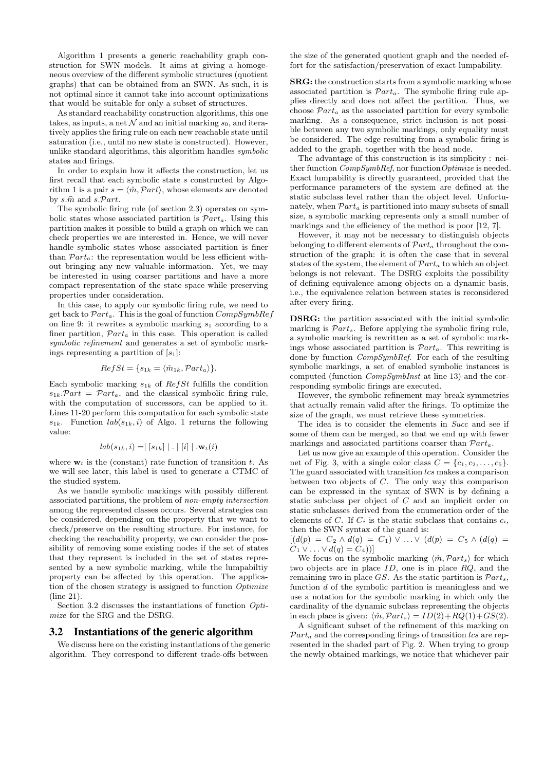Algorithm 1 presents a generic reachability graph construction for SWN models. It aims at giving a homogeneous overview of the different symbolic structures (quotient graphs) that can be obtained from an SWN. As such, it is not optimal since it cannot take into account optimizations that would be suitable for only a subset of structures.

As standard reachability construction algorithms, this one takes, as inputs, a net  $N$  and an initial marking  $s_0$ , and iteratively applies the firing rule on each new reachable state until saturation (i.e., until no new state is constructed). However, unlike standard algorithms, this algorithm handles symbolic states and firings.

In order to explain how it affects the construction, let us first recall that each symbolic state s constructed by Algorithm 1 is a pair  $s = \langle \hat{m}, Part \rangle$ , whose elements are denoted by  $s.\hat{m}$  and  $s.\mathcal{P}art$ .

The symbolic firing rule (of section 2.3) operates on symbolic states whose associated partition is  $Part_a$ . Using this partition makes it possible to build a graph on which we can check properties we are interested in. Hence, we will never handle symbolic states whose associated partition is finer than  $\mathcal{P}art_a$ : the representation would be less efficient without bringing any new valuable information. Yet, we may be interested in using coarser partitions and have a more compact representation of the state space while preserving properties under consideration.

In this case, to apply our symbolic firing rule, we need to get back to  $\mathcal{P}art_a$ . This is the goal of function  $CompSymbRef$ on line 9: it rewrites a symbolic marking  $s_1$  according to a finer partition,  $\mathcal{P}art_a$  in this case. This operation is called symbolic refinement and generates a set of symbolic markings representing a partition of  $[s_1]$ :

$$
RefSt = \{s_{1k} = \langle \hat{m}_{1k}, Part_a \rangle\}.
$$

Each symbolic marking  $s_{1k}$  of  $RefSt$  fulfills the condition  $s_{1k}$ .  $\mathcal{P}art = \mathcal{P}art_a$ , and the classical symbolic firing rule, with the computation of successors, can be applied to it. Lines 11-20 perform this computation for each symbolic state  $s_{1k}$ . Function  $lab(s_{1k}, i)$  of Algo. 1 returns the following value:

$$
lab(s_{1k}, i) = | [s_{1k}] | . | [i] | . \mathbf{w}_t(i)
$$

where  $w_t$  is the (constant) rate function of transition t. As we will see later, this label is used to generate a CTMC of the studied system.

As we handle symbolic markings with possibly different associated partitions, the problem of non-empty intersection among the represented classes occurs. Several strategies can be considered, depending on the property that we want to check/preserve on the resulting structure. For instance, for checking the reachability property, we can consider the possibility of removing some existing nodes if the set of states that they represent is included in the set of states represented by a new symbolic marking, while the lumpabiltiy property can be affected by this operation. The application of the chosen strategy is assigned to function Optimize (line 21).

Section 3.2 discusses the instantiations of function Optimize for the SRG and the DSRG.

#### 3.2 Instantiations of the generic algorithm

We discuss here on the existing instantiations of the generic algorithm. They correspond to different trade-offs between

the size of the generated quotient graph and the needed effort for the satisfaction/preservation of exact lumpability.

SRG: the construction starts from a symbolic marking whose associated partition is  $\mathcal{P}art_a$ . The symbolic firing rule applies directly and does not affect the partition. Thus, we choose  $Part_a$  as the associated partition for every symbolic marking. As a consequence, strict inclusion is not possible between any two symbolic markings, only equality must be considered. The edge resulting from a symbolic firing is added to the graph, together with the head node.

The advantage of this construction is its simplicity : neither function CompSymbRef, nor functionOptimize is needed. Exact lumpability is directly guaranteed, provided that the performance parameters of the system are defined at the static subclass level rather than the object level. Unfortunately, when  $Part_a$  is partitioned into many subsets of small size, a symbolic marking represents only a small number of markings and the efficiency of the method is poor [12, 7].

However, it may not be necessary to distinguish objects belonging to different elements of  $\mathcal{P}art_a$  throughout the construction of the graph: it is often the case that in several states of the system, the element of  $\mathcal{P}art_a$  to which an object belongs is not relevant. The DSRG exploits the possibility of defining equivalence among objects on a dynamic basis, i.e., the equivalence relation between states is reconsidered after every firing.

DSRG: the partition associated with the initial symbolic marking is  $\mathcal{P}art_s$ . Before applying the symbolic firing rule, a symbolic marking is rewritten as a set of symbolic markings whose associated partition is  $\mathcal{P}art_a$ . This rewriting is done by function CompSymbRef. For each of the resulting symbolic markings, a set of enabled symbolic instances is computed (function CompSymbInst at line 13) and the corresponding symbolic firings are executed.

However, the symbolic refinement may break symmetries that actually remain valid after the firings. To optimize the size of the graph, we must retrieve these symmetries.

The idea is to consider the elements in Succ and see if some of them can be merged, so that we end up with fewer markings and associated partitions coarser than  $\mathcal{P}art_a$ .

Let us now give an example of this operation. Consider the net of Fig. 3, with a single color class  $C = \{c_1, c_2, \ldots, c_5\}.$ The guard associated with transition lcs makes a comparison between two objects of C. The only way this comparison can be expressed in the syntax of SWN is by defining a static subclass per object of C and an implicit order on static subclasses derived from the enumeration order of the elements of C. If  $C_i$  is the static subclass that contains  $c_i$ , then the SWN syntax of the guard is:

 $[(d(p) = C_2 \wedge d(q) = C_1) \vee ... \vee (d(p) = C_5 \wedge (d(q))$  $C_1 \vee \ldots \vee d(q) = C_4$ )

We focus on the symbolic marking  $\langle \hat{m}, \mathcal{P}art_s \rangle$  for which two objects are in place  $ID$ , one is in place  $RQ$ , and the remaining two in place GS. As the static partition is  $\mathcal{P}art_s$ , function  $d$  of the symbolic partition is meaningless and we use a notation for the symbolic marking in which only the cardinality of the dynamic subclass representing the objects in each place is given:  $\langle \hat{m}, \mathcal{P}art_s \rangle = ID(2)+RQ(1)+GS(2).$ 

A significant subset of the refinement of this marking on  $\mathcal{P}art_a$  and the corresponding firings of transition  $\text{lcs}$  are represented in the shaded part of Fig. 2. When trying to group the newly obtained markings, we notice that whichever pair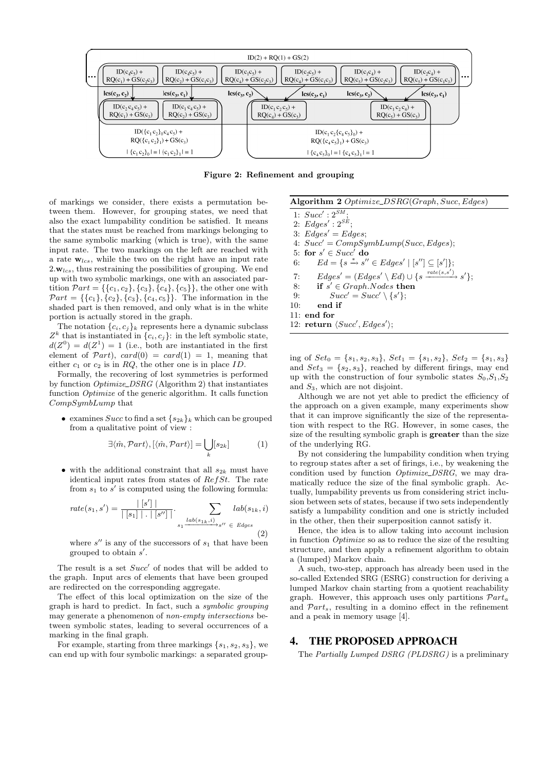

Figure 2: Refinement and grouping

of markings we consider, there exists a permutation between them. However, for grouping states, we need that also the exact lumpability condition be satisfied. It means that the states must be reached from markings belonging to the same symbolic marking (which is true), with the same input rate. The two markings on the left are reached with a rate  $w_{lcs}$ , while the two on the right have an input rate  $2.\mathbf{w}_{lcs}$ , thus restraining the possibilities of grouping. We end up with two symbolic markings, one with an associated partition  $\mathcal{P}art = \{\{c_1, c_2\}, \{c_3\}, \{c_4\}, \{c_5\}\}\$ , the other one with  $\mathcal{P}art = \{\{c_1\}, \{c_2\}, \{c_3\}, \{c_4, c_5\}\}\$ . The information in the shaded part is then removed, and only what is in the white portion is actually stored in the graph.

The notation  ${c_i, c_j}_k$  represents here a dynamic subclass  $Z<sup>k</sup>$  that is instantiated in  $\{c_i, c_j\}$ : in the left symbolic state,  $d(Z^0) = d(Z^1) = 1$  (i.e., both are instantiated in the first element of  $\mathcal{P}art$ ,  $card(0) = card(1) = 1$ , meaning that either  $c_1$  or  $c_2$  is in RQ, the other one is in place ID.

Formally, the recovering of lost symmetries is performed by function Optimize DSRG (Algorithm 2) that instantiates function Optimize of the generic algorithm. It calls function CompSymbLump that

• examines Succ to find a set  $\{s_{2k}\}_k$  which can be grouped from a qualitative point of view :

$$
\exists \langle \hat{m}, Part \rangle, [\langle \hat{m}, Part \rangle] = \bigcup_{k} [s_{2k}] \tag{1}
$$

• with the additional constraint that all  $s_{2k}$  must have identical input rates from states of  $RefSt$ . The rate from  $s_1$  to  $s'$  is computed using the following formula:

$$
rate(s_1, s') = \frac{|\begin{bmatrix} s' \end{bmatrix}|}{|\begin{bmatrix} s_1 \end{bmatrix}| \cdot |\begin{bmatrix} s'' \end{bmatrix}|} \cdot \sum_{s_1 \xrightarrow{lab(s_{1k}, i)} s'' \in Edges} lab(s_{1k}, i)
$$
\n
$$
(2)
$$

where  $s''$  is any of the successors of  $s_1$  that have been grouped to obtain  $s'$ .

The result is a set  $Succ'$  of nodes that will be added to the graph. Input arcs of elements that have been grouped are redirected on the corresponding aggregate.

The effect of this local optimization on the size of the graph is hard to predict. In fact, such a symbolic grouping may generate a phenomenon of non-empty intersections between symbolic states, leading to several occurrences of a marking in the final graph.

For example, starting from three markings  $\{s_1, s_2, s_3\}$ , we can end up with four symbolic markings: a separated groupAlgorithm 2 Optimize\_DSRG(Graph, Succ, Edges)

1:  $Succ': 2^{SM}$ ; 2:  $Edges': 2^{SE};$ 3:  $Edges' = Edges;$ 4:  $Succ' = CompSymbolump(Succ, Edges);$ 5: for  $s' \in Succ'$  do 6:  $Ed = \{s \stackrel{*}{\to} s'' \in Edges' \mid [s''] \subseteq [s']\};$ 7:  $Edges' = (Edges' \setminus Ed) \cup \{s \xrightarrow{rate(s,s')} s'\};$ 8: if  $s' \in Graph.Nodes$  then 9:  $Succ' = Succ' \setminus \{s'\};$ 10: end if 11: end for 12: return  $\langle Succ', Edges' \rangle;$ 

ing of  $Set_0 = \{s_1, s_2, s_3\}, Set_1 = \{s_1, s_2\}, Set_2 = \{s_1, s_3\}$ and  $Set_3 = \{s_2, s_3\}$ , reached by different firings, may end up with the construction of four symbolic states  $S_0, S_1, S_2$ and  $S_3$ , which are not disjoint.

Although we are not yet able to predict the efficiency of the approach on a given example, many experiments show that it can improve significantly the size of the representation with respect to the RG. However, in some cases, the size of the resulting symbolic graph is greater than the size of the underlying RG.

By not considering the lumpability condition when trying to regroup states after a set of firings, i.e., by weakening the condition used by function Optimize DSRG, we may dramatically reduce the size of the final symbolic graph. Actually, lumpability prevents us from considering strict inclusion between sets of states, because if two sets independently satisfy a lumpability condition and one is strictly included in the other, then their superposition cannot satisfy it.

Hence, the idea is to allow taking into account inclusion in function Optimize so as to reduce the size of the resulting structure, and then apply a refinement algorithm to obtain a (lumped) Markov chain.

A such, two-step, approach has already been used in the so-called Extended SRG (ESRG) construction for deriving a lumped Markov chain starting from a quotient reachability graph. However, this approach uses only partitions  $Part_a$ and  $\mathcal{P}art_s$ , resulting in a domino effect in the refinement and a peak in memory usage [4].

### 4. THE PROPOSED APPROACH

The Partially Lumped DSRG (PLDSRG) is a preliminary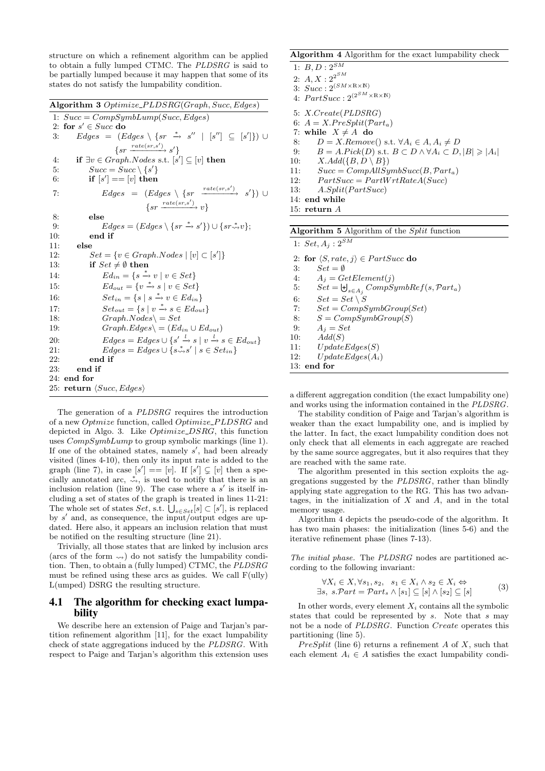structure on which a refinement algorithm can be applied to obtain a fully lumped CTMC. The PLDSRG is said to be partially lumped because it may happen that some of its states do not satisfy the lumpability condition.

Algorithm 3 Optimize\_PLDSRG(Graph, Succ, Edges) 1:  $Succ = CompSymbolump(Succ, Edges)$ 2: for  $s' \in Succ$  do 3: Edges =  $(Edges \setminus \{sr \stackrel{*}{\to} s'' \mid [s''] \subseteq [s']\}) \cup$  $\{sr \xrightarrow{rate(sr,s')} s'\}$ 4: if  $\exists v \in Graph.Nodes \text{ s.t. } [s'] \subseteq [v]$  then 5:  $Succ = Succ \setminus \{s'\}$ 6: if  $[s'] == [v]$  then 7:  $Edges = (Edges \setminus \{sr \xrightarrow{rate(sr,s')} s'\}) \cup$  $\{sr \xrightarrow{rate(sr,s')} v\}$ 8: else 9:  $Edges = (Edges \ \{sr \xrightarrow{*} s'\}) \cup \{sr \xrightarrow{*} v\};$ 10: end if 11: else 12:  $Set = \{v \in Graph.Nodes \mid [v] \subset [s']\}$ 13: if  $Set \neq \emptyset$  then 14:  $Ed_{in} = \{s \stackrel{*}{\rightarrow} v \mid v \in Set\}$ 15:  $Ed_{out} = \{v \stackrel{*}{\rightarrow} s \mid v \in Set\}$ 16:  $Set_{in} = \{s \mid s \stackrel{*}{\rightarrow} v \in Ed_{in}\}\$ 17:  $Set_{out} = \{ s \mid v \stackrel{*}{\rightarrow} s \in Ed_{out} \}$ 18:  $Graph.Nodes \subset$   $Set$ 19:  $Graph.Edges \ (Ed_{in} \cup Ed_{out})$ 20:  $Edges = Edges \cup \{s' \stackrel{l}{\rightarrow} s \mid v \stackrel{l}{\rightarrow} s \in Ed_{out}\}$ 21:  $Edges = Edges \cup \{s \stackrel{*}{\leadsto} s' \mid s \in Set_{in}\}\$ 22: end if 23: end if  $24$ : end for 25: return  $\langle Succ, Edges \rangle$ 

The generation of a PLDSRG requires the introduction of a new Optmize function, called Optimize\_PLDSRG and depicted in Algo. 3. Like *Optimize\_DSRG*, this function uses CompSymbLump to group symbolic markings (line 1). If one of the obtained states, namely  $s'$ , had been already visited (lines 4-10), then only its input rate is added to the graph (line 7), in case  $[s'] = [v]$ . If  $[s'] \subsetneq [v]$  then a specially annotated arc,  $\stackrel{*}{\leadsto}$ , is used to notify that there is an inclusion relation (line 9). The case where a  $s'$  is itself including a set of states of the graph is treated in lines 11-21: The whole set of states  $Set$ , s.t.  $\overline{\bigcup_{s \in Set}[s] \subset [s']}$ , is replaced by  $s'$  and, as consequence, the input/output edges are updated. Here also, it appears an inclusion relation that must be notified on the resulting structure (line 21).

Trivially, all those states that are linked by inclusion arcs (arcs of the form  $\leadsto$ ) do not satisfy the lumpability condition. Then, to obtain a (fully lumped) CTMC, the PLDSRG must be refined using these arcs as guides. We call F(ully) L(umped) DSRG the resulting structure.

# 4.1 The algorithm for checking exact lumpability

We describe here an extension of Paige and Tarjan's partition refinement algorithm [11], for the exact lumpability check of state aggregations induced by the PLDSRG. With respect to Paige and Tarjan's algorithm this extension uses

#### Algorithm 4 Algorithm for the exact lumpability check

| 1: $B, D: 2^{SM}$                                                  |
|--------------------------------------------------------------------|
| 2: $A, X: 2^{2^{SM}}$                                              |
| 3: $Succ: 2^{(SM \times R \times N)}$                              |
| 4: $PartSucc$ : $2^{(2^{SM} \times \mathbb{R} \times \mathbb{N})}$ |
| 5: $X.Create(PLDSRG)$                                              |
|                                                                    |

6:  $A = X.PreSplit(Part_a)$ 

7: while  $X \neq A$  do

- 8:  $D = X$ .Remove() s.t.  $\forall A_i \in A, A_i \neq D$
- 9:  $B = A.Pick(D) \text{ s.t. } B \subset D \land \forall A_i \subset D, |B| \geq |A_i|$
- 10:  $X. Add({B, D \setminus B})$
- 11:  $Succ = CompAllSymbolS (B, Part_a)$

12:  $PartSucc = PartWrtRateA(Succ)$ 

13:  $A.Split(PartSucc)$ 

14: end while

15: return A

| <b>Algorithm 5</b> Algorithm of the <i>Split</i> function<br>1: $Set, A_i : 2^{SM}$<br>2: for $\langle S, rate, i \rangle \in PartSucc$ do<br>$Set = \emptyset$<br>3:<br>$A_i = GetElement(i)$<br>4:<br>$Set = \biguplus_{s \in A_i} CompSymbol(s, Part_a)$<br>5:<br>$Set = Set \setminus S$<br>6:<br>$Set = CompSumbGroup(Set)$<br>7:<br>$S = CompSumbGroup(S)$<br>8:<br>$A_i = Set$<br>9:<br>Add(S)<br>10:<br>UpdateEdges(S)<br>11:<br>$UpdateEdges(A_i)$<br>12:<br>$13:$ end for |  |
|-------------------------------------------------------------------------------------------------------------------------------------------------------------------------------------------------------------------------------------------------------------------------------------------------------------------------------------------------------------------------------------------------------------------------------------------------------------------------------------|--|
|                                                                                                                                                                                                                                                                                                                                                                                                                                                                                     |  |
|                                                                                                                                                                                                                                                                                                                                                                                                                                                                                     |  |
|                                                                                                                                                                                                                                                                                                                                                                                                                                                                                     |  |
|                                                                                                                                                                                                                                                                                                                                                                                                                                                                                     |  |
|                                                                                                                                                                                                                                                                                                                                                                                                                                                                                     |  |
|                                                                                                                                                                                                                                                                                                                                                                                                                                                                                     |  |
|                                                                                                                                                                                                                                                                                                                                                                                                                                                                                     |  |
|                                                                                                                                                                                                                                                                                                                                                                                                                                                                                     |  |
|                                                                                                                                                                                                                                                                                                                                                                                                                                                                                     |  |
|                                                                                                                                                                                                                                                                                                                                                                                                                                                                                     |  |
|                                                                                                                                                                                                                                                                                                                                                                                                                                                                                     |  |
|                                                                                                                                                                                                                                                                                                                                                                                                                                                                                     |  |
|                                                                                                                                                                                                                                                                                                                                                                                                                                                                                     |  |
|                                                                                                                                                                                                                                                                                                                                                                                                                                                                                     |  |

a different aggregation condition (the exact lumpability one) and works using the information contained in the PLDSRG.

The stability condition of Paige and Tarjan's algorithm is weaker than the exact lumpability one, and is implied by the latter. In fact, the exact lumpability condition does not only check that all elements in each aggregate are reached by the same source aggregates, but it also requires that they are reached with the same rate.

The algorithm presented in this section exploits the aggregations suggested by the PLDSRG, rather than blindly applying state aggregation to the RG. This has two advantages, in the initialization of  $X$  and  $A$ , and in the total memory usage.

Algorithm 4 depicts the pseudo-code of the algorithm. It has two main phases: the initialization (lines 5-6) and the iterative refinement phase (lines 7-13).

The initial phase. The PLDSRG nodes are partitioned according to the following invariant:

$$
\forall X_i \in X, \forall s_1, s_2, s_1 \in X_i \land s_2 \in X_i \Leftrightarrow \exists s, s.\mathcal{P}art = \mathcal{P}art_s \land [s_1] \subseteq [s] \land [s_2] \subseteq [s]
$$
\n(3)

In other words, every element  $X_i$  contains all the symbolic states that could be represented by  $s$ . Note that  $s$  may not be a node of PLDSRG. Function Create operates this partitioning (line 5).

PreSplit (line 6) returns a refinement A of X, such that each element  $A_i \in A$  satisfies the exact lumpability condi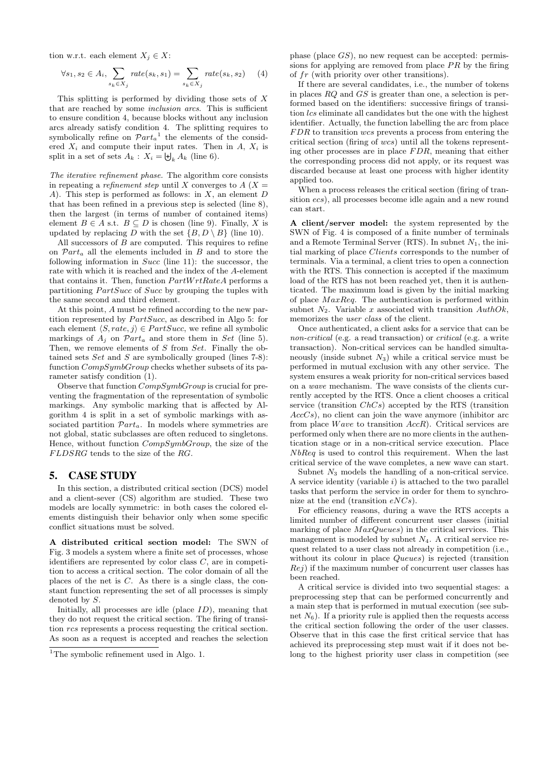tion w.r.t. each element  $X_i \in X$ :

$$
\forall s_1, s_2 \in A_i, \sum_{s_k \in X_j} rate(s_k, s_1) = \sum_{s_k \in X_j} rate(s_k, s_2) \tag{4}
$$

This splitting is performed by dividing those sets of  $X$ that are reached by some inclusion arcs. This is sufficient to ensure condition 4, because blocks without any inclusion arcs already satisfy condition 4. The splitting requires to symbolically refine on  $\mathcal{P}art_a^{-1}$  the elements of the considered  $X_i$  and compute their input rates. Then in  $A, X_i$  is split in a set of sets  $A_k$ :  $X_i = \biguplus_k A_k$  (line 6).

The iterative refinement phase. The algorithm core consists in repeating a *refinement step* until X converges to  $A(X =$ A). This step is performed as follows: in  $X$ , an element  $D$ that has been refined in a previous step is selected (line 8), then the largest (in terms of number of contained items) element  $B \in A$  s.t.  $B \subseteq D$  is chosen (line 9). Finally, X is updated by replacing D with the set  $\{B, D \setminus B\}$  (line 10).

All successors of  $B$  are computed. This requires to refine on  $\mathcal{P}art_a$  all the elements included in B and to store the following information in Succ (line 11): the successor, the rate with which it is reached and the index of the A-element that contains it. Then, function  $PartWrtRateA$  performs a partitioning  $PartSucc$  of  $Succ$  by grouping the tuples with the same second and third element.

At this point, A must be refined according to the new partition represented by  $PartSucc$ , as described in Algo 5: for each element  $\langle S, rate, i \rangle \in PartSucc$ , we refine all symbolic markings of  $A_i$  on  $\mathcal{P}art_a$  and store them in Set (line 5). Then, we remove elements of S from Set. Finally the obtained sets  $Set$  and  $S$  are symbolically grouped (lines 7-8): function  $CompSymbolGroup$  checks whether subsets of its parameter satisfy condition (1).

Observe that function CompSymbGroup is crucial for preventing the fragmentation of the representation of symbolic markings. Any symbolic marking that is affected by Algorithm 4 is split in a set of symbolic markings with associated partition  $\mathcal{P}art_a$ . In models where symmetries are not global, static subclasses are often reduced to singletons. Hence, without function CompSymbGroup, the size of the  $FLDSRG$  tends to the size of the  $RG$ .

#### 5. CASE STUDY

In this section, a distributed critical section (DCS) model and a client-sever (CS) algorithm are studied. These two models are locally symmetric: in both cases the colored elements distinguish their behavior only when some specific conflict situations must be solved.

A distributed critical section model: The SWN of Fig. 3 models a system where a finite set of processes, whose identifiers are represented by color class  $C$ , are in competition to access a critical section. The color domain of all the places of the net is C. As there is a single class, the constant function representing the set of all processes is simply denoted by S.

Initially, all processes are idle (place  $ID$ ), meaning that they do not request the critical section. The firing of transition rcs represents a process requesting the critical section. As soon as a request is accepted and reaches the selection

phase (place GS), no new request can be accepted: permissions for applying are removed from place  $PR$  by the firing of fr (with priority over other transitions).

If there are several candidates, i.e., the number of tokens in places RQ and GS is greater than one, a selection is performed based on the identifiers: successive firings of transition *lcs* eliminate all candidates but the one with the highest identifier. Actually, the function labelling the arc from place FDR to transition wcs prevents a process from entering the critical section (firing of wcs) until all the tokens representing other processes are in place  $FDR$ , meaning that either the corresponding process did not apply, or its request was discarded because at least one process with higher identity applied too.

When a process releases the critical section (firing of transition ecs), all processes become idle again and a new round can start.

A client/server model: the system represented by the SWN of Fig. 4 is composed of a finite number of terminals and a Remote Terminal Server (RTS). In subnet  $N_1$ , the initial marking of place Clients corresponds to the number of terminals. Via a terminal, a client tries to open a connection with the RTS. This connection is accepted if the maximum load of the RTS has not been reached yet, then it is authenticated. The maximum load is given by the initial marking of place MaxReq. The authentication is performed within subnet  $N_2$ . Variable x associated with transition  $Author(k,$ memorizes the user class of the client.

Once authenticated, a client asks for a service that can be non-critical (e.g. a read transaction) or critical (e.g. a write transaction). Non-critical services can be handled simultaneously (inside subnet  $N_3$ ) while a critical service must be performed in mutual exclusion with any other service. The system ensures a weak priority for non-critical services based on a wave mechanism. The wave consists of the clients currently accepted by the RTS. Once a client chooses a critical service (transition ChCs) accepted by the RTS (transition  $AccCs$ ), no client can join the wave anymore (inhibitor arc from place  $Wave$  to transition  $AccR$ ). Critical services are performed only when there are no more clients in the authentication stage or in a non-critical service execution. Place NbReq is used to control this requirement. When the last critical service of the wave completes, a new wave can start.

Subnet  $N_3$  models the handling of a non-critical service. A service identity (variable i) is attached to the two parallel tasks that perform the service in order for them to synchronize at the end (transition  $eNCs$ ).

For efficiency reasons, during a wave the RTS accepts a limited number of different concurrent user classes (initial marking of place  $MaxQueues$ ) in the critical services. This management is modeled by subnet  $N_4$ . A critical service request related to a user class not already in competition (i.e., without its colour in place *Queues*) is rejected (transition  $Rej$ ) if the maximum number of concurrent user classes has been reached.

A critical service is divided into two sequential stages: a preprocessing step that can be performed concurrently and a main step that is performed in mutual execution (see subnet  $N_6$ ). If a priority rule is applied then the requests access the critical section following the order of the user classes. Observe that in this case the first critical service that has achieved its preprocessing step must wait if it does not belong to the highest priority user class in competition (see

<sup>&</sup>lt;sup>1</sup>The symbolic refinement used in Algo. 1.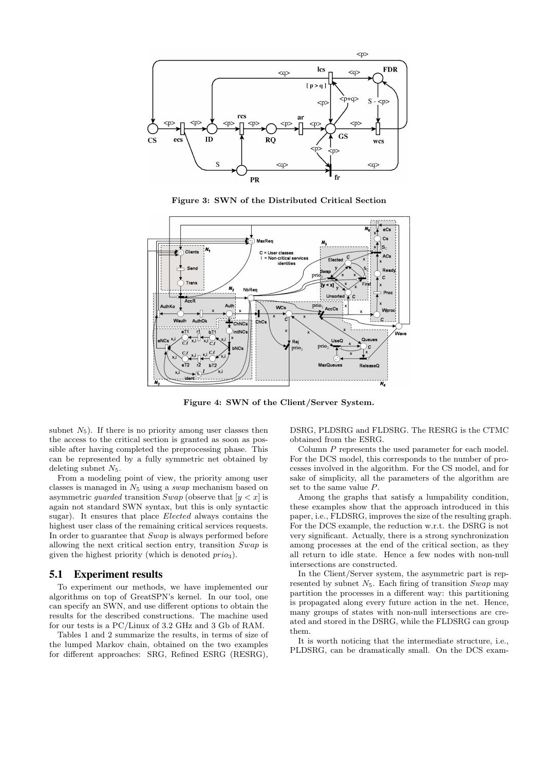

Figure 3: SWN of the Distributed Critical Section



Figure 4: SWN of the Client/Server System.

subnet  $N_5$ ). If there is no priority among user classes then the access to the critical section is granted as soon as possible after having completed the preprocessing phase. This can be represented by a fully symmetric net obtained by deleting subnet  $N_5$ .

From a modeling point of view, the priority among user classes is managed in  $N_5$  using a *swap* mechanism based on asymmetric *guarded* transition  $Swap$  (observe that  $[y < x]$  is again not standard SWN syntax, but this is only syntactic sugar). It ensures that place Elected always contains the highest user class of the remaining critical services requests. In order to guarantee that Swap is always performed before allowing the next critical section entry, transition Swap is given the highest priority (which is denoted  $prio_3$ ).

#### 5.1 Experiment results

To experiment our methods, we have implemented our algorithms on top of GreatSPN's kernel. In our tool, one can specify an SWN, and use different options to obtain the results for the described constructions. The machine used for our tests is a PC/Linux of 3.2 GHz and 3 Gb of RAM.

Tables 1 and 2 summarize the results, in terms of size of the lumped Markov chain, obtained on the two examples for different approaches: SRG, Refined ESRG (RESRG),

DSRG, PLDSRG and FLDSRG. The RESRG is the CTMC obtained from the ESRG.

Column P represents the used parameter for each model. For the DCS model, this corresponds to the number of processes involved in the algorithm. For the CS model, and for sake of simplicity, all the parameters of the algorithm are set to the same value P.

Among the graphs that satisfy a lumpability condition, these examples show that the approach introduced in this paper, i.e., FLDSRG, improves the size of the resulting graph. For the DCS example, the reduction w.r.t. the DSRG is not very significant. Actually, there is a strong synchronization among processes at the end of the critical section, as they all return to idle state. Hence a few nodes with non-null intersections are constructed.

In the Client/Server system, the asymmetric part is represented by subnet  $N_5$ . Each firing of transition  $Swap$  may partition the processes in a different way: this partitioning is propagated along every future action in the net. Hence, many groups of states with non-null intersections are created and stored in the DSRG, while the FLDSRG can group them.

It is worth noticing that the intermediate structure, i.e., PLDSRG, can be dramatically small. On the DCS exam-